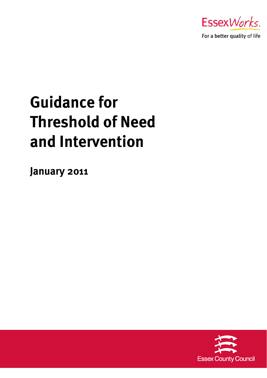

For a better quality of life

# **Guidance for Threshold of Need and Intervention**

**January 2011** 

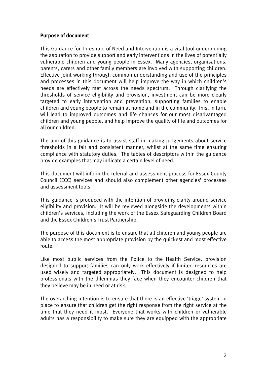#### **Purpose of document**

This Guidance for Threshold of Need and Intervention is a vital tool underpinning the aspiration to provide support and early interventions in the lives of potentially vulnerable children and young people in Essex. Many agencies, organisations, parents, carers and other family members are involved with supporting children. Effective joint working through common understanding and use of the principles and processes in this document will help improve the way in which children's needs are effectively met across the needs spectrum. Through clarifying the thresholds of service eligibility and provision, investment can be more clearly targeted to early intervention and prevention, supporting families to enable children and young people to remain at home and in the community. This, in turn, will lead to improved outcomes and life chances for our most disadvantaged children and young people, and help improve the quality of life and outcomes for all our children.

The aim of this guidance is to assist staff in making judgements about service thresholds in a fair and consistent manner, whilst at the same time ensuring compliance with statutory duties. The tables of descriptors within the guidance provide examples that may indicate a certain level of need.

This document will inform the referral and assessment process for Essex County Council (ECC) services and should also complement other agencies' processes and assessment tools.

This guidance is produced with the intention of providing clarity around service eligibility and provision. It will be reviewed alongside the developments within children's services, including the work of the Essex Safeguarding Children Board and the Essex Children's Trust Partnership.

The purpose of this document is to ensure that all children and young people are able to access the most appropriate provision by the quickest and most effective route.

Like most public services from the Police to the Health Service, provision designed to support families can only work effectively if limited resources are used wisely and targeted appropriately. This document is designed to help professionals with the dilemmas they face when they encounter children that they believe may be in need or at risk.

The overarching intention is to ensure that there is an effective 'triage' system in place to ensure that children get the right response from the right service at the time that they need it most. Everyone that works with children or vulnerable adults has a responsibility to make sure they are equipped with the appropriate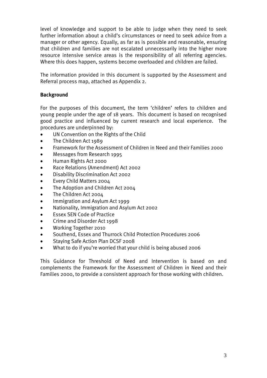level of knowledge and support to be able to judge when they need to seek further information about a child's circumstances or need to seek advice from a manager or other agency. Equally, as far as is possible and reasonable, ensuring that children and families are not escalated unnecessarily into the higher more resource intensive service areas is the responsibility of all referring agencies. Where this does happen, systems become overloaded and children are failed.

The information provided in this document is supported by the Assessment and Referral process map, attached as Appendix 2.

#### **Background**

For the purposes of this document, the term 'children' refers to children and young people under the age of 18 years. This document is based on recognised good practice and influenced by current research and local experience. The procedures are underpinned by:

- UN Convention on the Rights of the Child
- The Children Act 1989
- Framework for the Assessment of Children in Need and their Families 2000
- Messages from Research 1995
- Human Rights Act 2000
- Race Relations (Amendment) Act 2002
- Disability Discrimination Act 2002
- Every Child Matters 2004
- The Adoption and Children Act 2004
- The Children Act 2004
- Immigration and Asylum Act 1999
- Nationality, Immigration and Asylum Act 2002
- Essex SEN Code of Practice
- Crime and Disorder Act 1998
- Working Together 2010
- Southend, Essex and Thurrock Child Protection Procedures 2006
- Staying Safe Action Plan DCSF 2008
- What to do if you're worried that your child is being abused 2006

This Guidance for Threshold of Need and Intervention is based on and complements the Framework for the Assessment of Children in Need and their Families 2000, to provide a consistent approach for those working with children.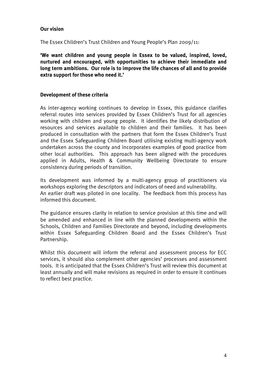#### **Our vision**

The Essex Children's Trust Children and Young People's Plan 2009/11:

**'We want children and young people in Essex to be valued, inspired, loved, nurtured and encouraged, with opportunities to achieve their immediate and long term ambitions. Our role is to improve the life chances of all and to provide extra support for those who need it.'** 

#### **Development of these criteria**

As inter-agency working continues to develop in Essex, this guidance clarifies referral routes into services provided by Essex Children's Trust for all agencies working with children and young people. It identifies the likely distribution of resources and services available to children and their families. It has been produced in consultation with the partners that form the Essex Children's Trust and the Essex Safeguarding Children Board utilising existing multi-agency work undertaken across the county and incorporates examples of good practice from other local authorities. This approach has been aligned with the procedures applied in Adults, Health & Community Wellbeing Directorate to ensure consistency during periods of transition.

Its development was informed by a multi-agency group of practitioners via workshops exploring the descriptors and indicators of need and vulnerability. An earlier draft was piloted in one locality. The feedback from this process has informed this document.

The guidance ensures clarity in relation to service provision at this time and will be amended and enhanced in line with the planned developments within the Schools, Children and Families Directorate and beyond, including developments within Essex Safeguarding Children Board and the Essex Children's Trust Partnership.

Whilst this document will inform the referral and assessment process for ECC services, it should also complement other agencies' processes and assessment tools. It is anticipated that the Essex Children's Trust will review this document at least annually and will make revisions as required in order to ensure it continues to reflect best practice.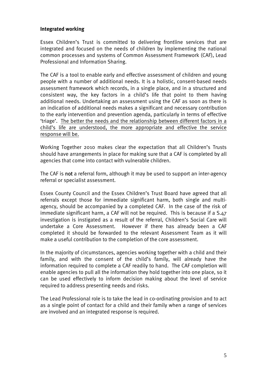#### **Integrated working**

Essex Children's Trust is committed to delivering frontline services that are integrated and focused on the needs of children by implementing the national common processes and systems of Common Assessment Framework (CAF), Lead Professional and Information Sharing.

The CAF is a tool to enable early and effective assessment of children and young people with a number of additional needs. It is a holistic, consent-based needs assessment framework which records, in a single place, and in a structured and consistent way, the key factors in a child's life that point to them having additional needs. Undertaking an assessment using the CAF as soon as there is an indication of additional needs makes a significant and necessary contribution to the early intervention and prevention agenda, particularly in terms of effective 'triage'. The better the needs and the relationship between different factors in a child's life are understood, the more appropriate and effective the service response will be.

Working Together 2010 makes clear the expectation that all Children's Trusts should have arrangements in place for making sure that a CAF is completed by all agencies that come into contact with vulnerable children.

The CAF is not a referral form, although it may be used to support an inter-agency referral or specialist assessment.

Essex County Council and the Essex Children's Trust Board have agreed that all referrals except those for immediate significant harm, both single and multiagency, should be accompanied by a completed CAF. In the case of the risk of immediate significant harm, a CAF will not be required. This is because if a S.47 investigation is instigated as a result of the referral, Children's Social Care will undertake a Core Assessment. However if there has already been a CAF completed it should be forwarded to the relevant Assessment Team as it will make a useful contribution to the completion of the core assessment.

In the majority of circumstances, agencies working together with a child and their family, and with the consent of the child's family, will already have the information required to complete a CAF readily to hand. The CAF completion will enable agencies to pull all the information they hold together into one place, so it can be used effectively to inform decision making about the level of service required to address presenting needs and risks.

The Lead Professional role is to take the lead in co-ordinating provision and to act as a single point of contact for a child and their family when a range of services are involved and an integrated response is required.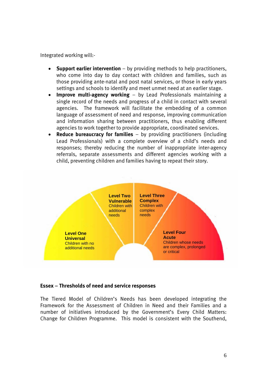Integrated working will:-

- **Support earlier intervention** by providing methods to help practitioners, who come into day to day contact with children and families, such as those providing ante-natal and post natal services, or those in early years settings and schools to identify and meet unmet need at an earlier stage.
- **Improve multi-agency working** by Lead Professionals maintaining a single record of the needs and progress of a child in contact with several agencies. The framework will facilitate the embedding of a common language of assessment of need and response, improving communication and information sharing between practitioners, thus enabling different agencies to work together to provide appropriate, coordinated services.
- **Reduce bureaucracy for families**  by providing practitioners (including Lead Professionals) with a complete overview of a child's needs and responses; thereby reducing the number of inappropriate inter-agency referrals, separate assessments and different agencies working with a child, preventing children and families having to repeat their story.



#### **Essex** – **Thresholds of need and service responses**

The Tiered Model of Children's Needs has been developed integrating the Framework for the Assessment of Children in Need and their Families and a number of initiatives introduced by the Government's Every Child Matters: Change for Children Programme. This model is consistent with the Southend,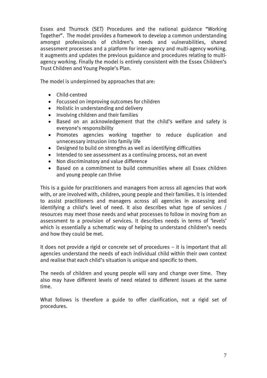Essex and Thurrock (SET) Procedures and the national guidance "Working Together". The model provides a framework to develop a common understanding amongst professionals of children's needs and vulnerabilities, shared assessment processes and a platform for inter-agency and multi-agency working. It augments and updates the previous guidance and procedures relating to multiagency working. Finally the model is entirely consistent with the Essex Children's Trust Children and Young People's Plan.

The model is underpinned by approaches that are:

- Child-centred
- Focussed on improving outcomes for children
- Holistic in understanding and delivery
- Involving children and their families
- Based on an acknowledgement that the child's welfare and safety is everyone's responsibility
- Promotes agencies working together to reduce duplication and unnecessary intrusion into family life
- Designed to build on strengths as well as identifying difficulties
- $\bullet$  Intended to see assessment as a continuing process, not an event
- Non discriminatory and value difference
- Based on a commitment to build communities where all Essex children and young people can thrive

This is a guide for practitioners and managers from across all agencies that work with, or are involved with, children, young people and their families. It is intended to assist practitioners and managers across all agencies in assessing and identifying a child's level of need. It also describes what type of services / resources may meet those needs and what processes to follow in moving from an assessment to a provision of services. It describes needs in terms of 'levels' which is essentially a schematic way of helping to understand children's needs and how they could be met.

It does not provide a rigid or concrete set of procedures – it is important that all agencies understand the needs of each individual child within their own context and realise that each child's situation is unique and specific to them.

The needs of children and young people will vary and change over time. They also may have different levels of need related to different issues at the same time.

What follows is therefore a guide to offer clarification, not a rigid set of procedures.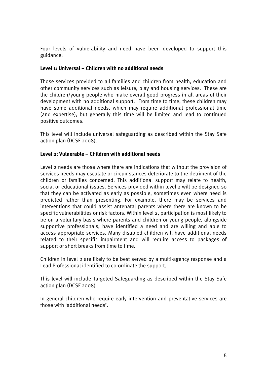Four levels of vulnerability and need have been developed to support this guidance:

#### **Level 1: Universal – Children with no additional needs**

Those services provided to all families and children from health, education and other community services such as leisure, play and housing services. These are the children/young people who make overall good progress in all areas of their development with no additional support. From time to time, these children may have some additional needs, which may require additional professional time (and expertise), but generally this time will be limited and lead to continued positive outcomes.

This level will include universal safeguarding as described within the Stay Safe action plan (DCSF 2008).

#### **Level 2: Vulnerable – Children with additional needs**

Level 2 needs are those where there are indications that without the provision of services needs may escalate or circumstances deteriorate to the detriment of the children or families concerned. This additional support may relate to health, social or educational issues. Services provided within level 2 will be designed so that they can be activated as early as possible, sometimes even where need is predicted rather than presenting. For example, there may be services and interventions that could assist antenatal parents where there are known to be specific vulnerabilities or risk factors. Within level 2, participation is most likely to be on a voluntary basis where parents and children or young people, alongside supportive professionals, have identified a need and are willing and able to access appropriate services. Many disabled children will have additional needs related to their specific impairment and will require access to packages of support or short breaks from time to time.

Children in level 2 are likely to be best served by a multi-agency response and a Lead Professional identified to co-ordinate the support.

This level will include Targeted Safeguarding as described within the Stay Safe action plan (DCSF 2008)

In general children who require early intervention and preventative services are those with 'additional needs'.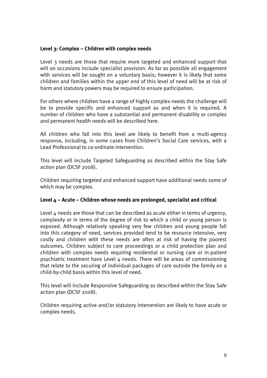#### **Level 3: Complex – Children with complex needs**

Level 3 needs are those that require more targeted and enhanced support that will on occasions include specialist provision. As far as possible all engagement with services will be sought on a voluntary basis; however it is likely that some children and families within the upper end of this level of need will be at risk of harm and statutory powers may be required to ensure participation.

For others where children have a range of highly complex needs the challenge will be to provide specific and enhanced support as and when it is required. A number of children who have a substantial and permanent disability or complex and permanent health needs will be described here.

All children who fall into this level are likely to benefit from a multi-agency response, including, in some cases from Children's Social Care services, with a Lead Professional to co-ordinate intervention.

This level will include Targeted Safeguarding as described within the Stay Safe action plan (DCSF 2008).

Children requiring targeted and enhanced support have additional needs some of which may be complex.

#### **Level 4 – Acute – Children whose needs are prolonged, specialist and critical**

Level 4 needs are those that can be described as acute either in terms of urgency, complexity or in terms of the degree of risk to which a child or young person is exposed. Although relatively speaking very few children and young people fall into this category of need, services provided tend to be resource intensive, very costly and children with these needs are often at risk of having the poorest outcomes. Children subject to care proceedings or a child protection plan and children with complex needs requiring residential or nursing care or in-patient psychiatric treatment have Level 4 needs. There will be areas of commissioning that relate to the securing of individual packages of care outside the family on a child-by-child basis within this level of need.

This level will include Responsive Safeguarding as described within the Stay Safe action plan (DCSF 2008).

Children requiring active and/or statutory intervention are likely to have acute or complex needs.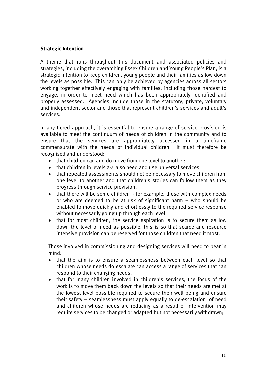#### **Strategic Intention**

A theme that runs throughout this document and associated policies and strategies, including the overarching Essex Children and Young People's Plan, is a strategic intention to keep children, young people and their families as low down the levels as possible. This can only be achieved by agencies across all sectors working together effectively engaging with families, including those hardest to engage, in order to meet need which has been appropriately identified and properly assessed. Agencies include those in the statutory, private, voluntary and independent sector and those that represent children's services and adult's services.

In any tiered approach, it is essential to ensure a range of service provision is available to meet the continuum of needs of children in the community and to ensure that the services are appropriately accessed in a timeframe commensurate with the needs of individual children. It must therefore be recognised and understood:

- that children can and do move from one level to another:
- $\bullet$  that children in levels 2-4 also need and use universal services:
- that repeated assessments should not be necessary to move children from one level to another and that children's stories can follow them as they progress through service provision;
- that there will be some children for example, those with complex needs or who are deemed to be at risk of significant harm – who should be enabled to move quickly and effortlessly to the required service response without necessarily going up through each level
- that for most children, the service aspiration is to secure them as low down the level of need as possible, this is so that scarce and resource intensive provision can be reserved for those children that need it most.

Those involved in commissioning and designing services will need to bear in mind:

- that the aim is to ensure a seamlessness between each level so that children whose needs do escalate can access a range of services that can respond to their changing needs;
- that for many children involved in children's services, the focus of the work is to move them back down the levels so that their needs are met at the lowest level possible required to secure their well being and ensure their safety – seamlessness must apply equally to de-escalation of need and children whose needs are reducing as a result of intervention may require services to be changed or adapted but not necessarily withdrawn;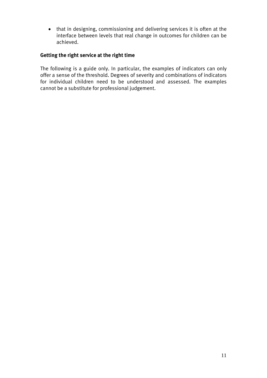that in designing, commissioning and delivering services it is often at the interface between levels that real change in outcomes for children can be achieved.

#### **Getting the right service at the right time**

The following is a guide only. In particular, the examples of indicators can only offer a sense of the threshold. Degrees of severity and combinations of indicators for individual children need to be understood and assessed. The examples cannot be a substitute for professional judgement.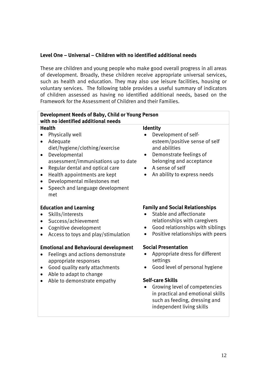#### **Level One – Universal – Children with no identified additional needs**

These are children and young people who make good overall progress in all areas of development. Broadly, these children receive appropriate universal services, such as health and education. They may also use leisure facilities, housing or voluntary services. The following table provides a useful summary of indicators of children assessed as having no identified additional needs, based on the Framework for the Assessment of Children and their Families.

| Development Needs of Baby, Child or Young Person                                                                                                                                                                                                                                                                                    |                                                                                                                                                                                                                                                                                                      |  |  |  |
|-------------------------------------------------------------------------------------------------------------------------------------------------------------------------------------------------------------------------------------------------------------------------------------------------------------------------------------|------------------------------------------------------------------------------------------------------------------------------------------------------------------------------------------------------------------------------------------------------------------------------------------------------|--|--|--|
| with no identified additional needs                                                                                                                                                                                                                                                                                                 |                                                                                                                                                                                                                                                                                                      |  |  |  |
| <b>Health</b>                                                                                                                                                                                                                                                                                                                       | <b>Identity</b>                                                                                                                                                                                                                                                                                      |  |  |  |
| Physically well<br>Adequate<br>$\bullet$<br>diet/hygiene/clothing/exercise<br>Developmental<br>$\bullet$<br>assessment/immunisations up to date<br>Regular dental and optical care<br>$\bullet$<br>Health appointments are kept<br>$\bullet$<br>Developmental milestones met<br>$\bullet$<br>Speech and language development<br>met | Development of self-<br>esteem/positive sense of self<br>and abilities<br>Demonstrate feelings of<br>$\bullet$<br>belonging and acceptance<br>A sense of self<br>$\bullet$<br>An ability to express needs                                                                                            |  |  |  |
| <b>Education and Learning</b><br>Skills/interests<br>Success/achievement<br>Cognitive development<br>Access to toys and play/stimulation                                                                                                                                                                                            | <b>Family and Social Relationships</b><br>Stable and affectionate<br>relationships with caregivers<br>Good relationships with siblings<br>$\bullet$<br>Positive relationships with peers                                                                                                             |  |  |  |
| <b>Emotional and Behavioural development</b><br>Feelings and actions demonstrate<br>appropriate responses<br>Good quality early attachments<br>Able to adapt to change<br>Able to demonstrate empathy                                                                                                                               | <b>Social Presentation</b><br>Appropriate dress for different<br>$\bullet$<br>settings<br>Good level of personal hygiene<br>$\bullet$<br><b>Self-care Skills</b><br>Growing level of competencies<br>in practical and emotional skills<br>such as feeding, dressing and<br>independent living skills |  |  |  |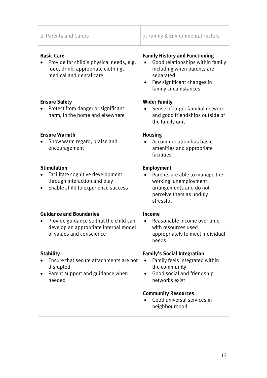2. Parents and Carers 2. Family & Environmental Factors

#### **Basic Care**

• Provide for child's physical needs, e.g. food, drink, appropriate clothing, medical and dental care

#### **Ensure Safety**

• Protect from danger or significant harm, in the home and elsewhere

#### **Ensure Warmth**

• Show warm regard, praise and encouragement

#### **Stimulation**

- Facilitate cognitive development through interaction and play
- Enable child to experience success

#### **Guidance and Boundaries**

• Provide guidance so that the child can develop an appropriate internal model of values and conscience

#### **Stability**

- Ensure that secure attachments are not disrupted
- Parent support and guidance when needed

#### **Family History and Functioning**

- Good relationships within family including when parents are separated
- Few significant changes in family circumstances

#### **Wider Family**

 Sense of larger familial network and good friendships outside of the family unit

#### **Housing**

 Accommodation has basic amenities and appropriate facilities

#### **Employment**

 Parents are able to manage the working unemployment arrangements and do not perceive them as unduly stressful

#### **Income**

 Reasonable income over time with resources used appropriately to meet individual needs

#### **Family's Social Integration**

- Family feels integrated within the community
- Good social and friendship networks exist

#### **Community Resources**

 Good universal services in neighbourhood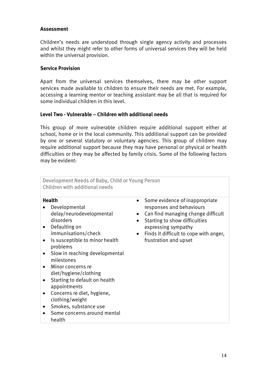#### **Assessment**

Children's needs are understood through single agency activity and processes and whilst they might refer to other forms of universal services they will be held within the universal provision.

#### **Service Provision**

Apart from the universal services themselves, there may be other support services made available to children to ensure their needs are met. For example, accessing a learning mentor or teaching assistant may be all that is required for some individual children in this level.

#### **Level Two - Vulnerable – Children with additional needs**

This group of more vulnerable children require additional support either at school, home or in the local community. This additional support can be provided by one or several statutory or voluntary agencies. This group of children may require additional support because they may have personal or physical or health difficulties or they may be affected by family crisis. Some of the following factors may be evident:

| Development Needs of Baby, Child or Young Person<br><b>Children with additional needs</b>                                                                                                                                                                                                                                                                                                                                                                                                                     |                                                                                                                                                                                                                             |
|---------------------------------------------------------------------------------------------------------------------------------------------------------------------------------------------------------------------------------------------------------------------------------------------------------------------------------------------------------------------------------------------------------------------------------------------------------------------------------------------------------------|-----------------------------------------------------------------------------------------------------------------------------------------------------------------------------------------------------------------------------|
| <b>Health</b><br>Developmental<br>delay/neurodevelopmental<br>disorders<br>Defaulting on<br>$\bullet$<br>immunisations/check<br>$\bullet$<br>Is susceptible to minor health<br>$\bullet$<br>problems<br>Slow in reaching developmental<br>$\bullet$<br>milestones<br>Minor concerns re<br>$\bullet$<br>diet/hygiene/clothing<br>Starting to default on health<br>appointments<br>Concerns re diet, hygiene,<br>$\bullet$<br>clothing/weight<br>Smokes, substance use<br>Some concerns around mental<br>health | Some evidence of inappropriate<br>responses and behaviours<br>Can find managing change difficult<br>Starting to show difficulties<br>expressing sympathy<br>Finds it difficult to cope with anger,<br>frustration and upset |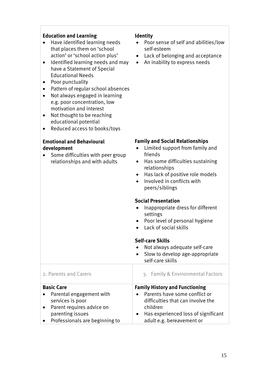#### **Education and Learning**

- Have identified learning needs that places them on 'school action' or 'school action plus'
- Identified learning needs and may have a Statement of Special Educational Needs
- Poor punctuality
- Pattern of regular school absences
- Not always engaged in learning e.g. poor concentration, low motivation and interest
- Not thought to be reaching educational potential
- Reduced access to books/toys

#### **Emotional and Behavioural development**

 Some difficulties with peer group relationships and with adults

#### **Identity**

- Poor sense of self and abilities/low self-esteem
- Lack of belonging and acceptance
- An inability to express needs

#### **Family and Social Relationships**

- Limited support from family and friends
- Has some difficulties sustaining relationships
- Has lack of positive role models
- Involved in conflicts with peers/siblings

#### **Social Presentation**

- Inappropriate dress for different settings
- Poor level of personal hygiene
- $\bullet$  Lack of social skills

#### **Self-care Skills**

- Not always adequate self-care
- Slow to develop age-appropriate self-care skills

| 2. Parents and Carers            | 3. Family & Environmental Factors                |
|----------------------------------|--------------------------------------------------|
| <b>Basic Care</b>                | <b>Family History and Functioning</b>            |
| Parental engagement with         | Parents have some conflict or<br>$\bullet$       |
| services is poor                 | difficulties that can involve the                |
| • Parent requires advice on      | children                                         |
| parenting issues                 | Has experienced loss of significant<br>$\bullet$ |
| • Professionals are beginning to | adult e.g. bereavement or                        |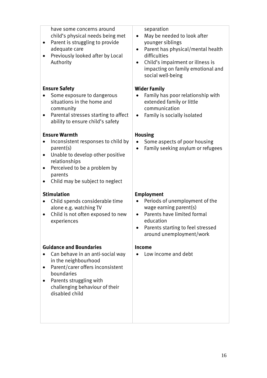| have some concerns around<br>child's physical needs being met<br>Parent is struggling to provide<br>$\bullet$<br>adequate care<br>Previously looked after by Local<br>$\bullet$<br>Authority                                           | separation<br>May be needed to look after<br>younger siblings<br>Parent has physical/mental health<br>difficulties<br>Child's impairment or illness is<br>impacting on family emotional and<br>social well-being |
|----------------------------------------------------------------------------------------------------------------------------------------------------------------------------------------------------------------------------------------|------------------------------------------------------------------------------------------------------------------------------------------------------------------------------------------------------------------|
| <b>Ensure Safety</b>                                                                                                                                                                                                                   | <b>Wider Family</b>                                                                                                                                                                                              |
| Some exposure to dangerous<br>$\bullet$<br>situations in the home and<br>community                                                                                                                                                     | Family has poor relationship with<br>extended family or little<br>communication                                                                                                                                  |
| Parental stresses starting to affect<br>$\bullet$<br>ability to ensure child's safety                                                                                                                                                  | Family is socially isolated                                                                                                                                                                                      |
| <b>Ensure Warmth</b>                                                                                                                                                                                                                   | <b>Housing</b>                                                                                                                                                                                                   |
| Inconsistent responses to child by<br>$\bullet$<br>parent(s)<br>Unable to develop other positive<br>$\bullet$<br>relationships<br>Perceived to be a problem by<br>$\bullet$<br>parents<br>Child may be subject to neglect<br>$\bullet$ | Some aspects of poor housing<br>Family seeking asylum or refugees                                                                                                                                                |
| <b>Stimulation</b>                                                                                                                                                                                                                     | <b>Employment</b>                                                                                                                                                                                                |
| Child spends considerable time<br>$\bullet$<br>alone e.g. watching TV<br>Child is not often exposed to new                                                                                                                             | Periods of unemployment of the<br>wage earning parent(s)<br>Parents have limited formal                                                                                                                          |
| experiences                                                                                                                                                                                                                            | education<br>Parents starting to feel stressed<br>$\bullet$<br>around unemployment/work                                                                                                                          |
| <b>Guidance and Boundaries</b>                                                                                                                                                                                                         | Income                                                                                                                                                                                                           |
| Can behave in an anti-social way<br>$\bullet$<br>in the neighbourhood<br>Parent/carer offers inconsistent<br>$\bullet$<br>boundaries<br>Parents struggling with<br>$\bullet$<br>challenging behaviour of their<br>disabled child       | Low income and debt                                                                                                                                                                                              |
|                                                                                                                                                                                                                                        |                                                                                                                                                                                                                  |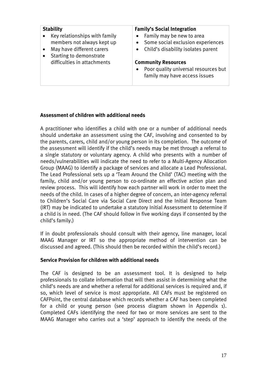| <b>Stability</b>              | <b>Family's Social Integration</b>   |
|-------------------------------|--------------------------------------|
| Key relationships with family | Family may be new to area            |
| members not always kept up    | Some social exclusion experiences    |
| May have different carers     | • Child's disability isolates parent |
| Starting to demonstrate       |                                      |
| difficulties in attachments   | <b>Community Resources</b>           |
|                               | Poor quality universal resources but |
|                               | family may have access issues        |
|                               |                                      |

#### **Assessment of children with additional needs**

A practitioner who identifies a child with one or a number of additional needs should undertake an assessment using the CAF, involving and consented to by the parents, carers, child and/or young person in its completion. The outcome of the assessment will identify if the child's needs may be met through a referral to a single statutory or voluntary agency. A child who presents with a number of needs/vulnerabilities will indicate the need to refer to a Multi-Agency Allocation Group (MAAG) to identify a package of services and allocate a Lead Professional. The Lead Professional sets up a 'Team Around the Child' (TAC) meeting with the family, child and/or young person to co-ordinate an effective action plan and review process. This will identify how each partner will work in order to meet the needs of the child. In cases of a higher degree of concern, an inter-agency referral to Children's Social Care via Social Care Direct and the Initial Response Team (IRT) may be indicated to undertake a statutory Initial Assessment to determine if a child is in need. (The CAF should follow in five working days if consented by the child's family.)

If in doubt professionals should consult with their agency, line manager, local MAAG Manager or IRT so the appropriate method of intervention can be discussed and agreed. (This should then be recorded within the child's record.)

#### **Service Provision for children with additional needs**

The CAF is designed to be an assessment tool. It is designed to help professionals to collate information that will then assist in determining what the child's needs are and whether a referral for additional services is required and, if so, which level of service is most appropriate. All CAFs must be registered on CAFPoint, the central database which records whether a CAF has been completed for a child or young person (see process diagram shown in Appendix 1). Completed CAFs identifying the need for two or more services are sent to the MAAG Manager who carries out a 'step' approach to identify the needs of the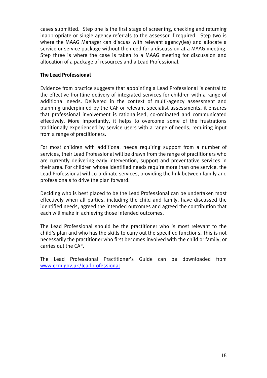cases submitted. Step one is the first stage of screening, checking and returning inappropriate or single agency referrals to the assessor if required. Step two is where the MAAG Manager can discuss with relevant agency(ies) and allocate a service or service package without the need for a discussion at a MAAG meeting. Step three is where the case is taken to a MAAG meeting for discussion and allocation of a package of resources and a Lead Professional.

#### **The Lead Professional**

Evidence from practice suggests that appointing a Lead Professional is central to the effective frontline delivery of integrated services for children with a range of additional needs. Delivered in the context of multi-agency assessment and planning underpinned by the CAF or relevant specialist assessments, it ensures that professional involvement is rationalised, co-ordinated and communicated effectively. More importantly, it helps to overcome some of the frustrations traditionally experienced by service users with a range of needs, requiring input from a range of practitioners.

For most children with additional needs requiring support from a number of services, their Lead Professional will be drawn from the range of practitioners who are currently delivering early intervention, support and preventative services in their area. For children whose identified needs require more than one service, the Lead Professional will co-ordinate services, providing the link between family and professionals to drive the plan forward.

Deciding who is best placed to be the Lead Professional can be undertaken most effectively when all parties, including the child and family, have discussed the identified needs, agreed the intended outcomes and agreed the contribution that each will make in achieving those intended outcomes.

The Lead Professional should be the practitioner who is most relevant to the child's plan and who has the skills to carry out the specified functions. This is not necessarily the practitioner who first becomes involved with the child or family, or carries out the CAF.

The Lead Professional Practitioner's Guide can be downloaded from www.ecm.gov.uk/leadprofessional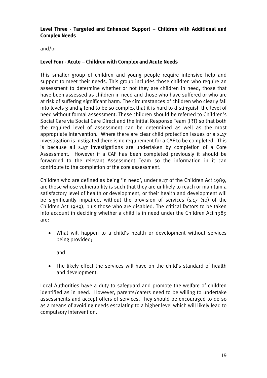#### **Level Three - Targeted and Enhanced Support – Children with Additional and Complex Needs**

and/or

#### **Level Four - Acute – Children with Complex and Acute Needs**

This smaller group of children and young people require intensive help and support to meet their needs. This group includes those children who require an assessment to determine whether or not they are children in need, those that have been assessed as children in need and those who have suffered or who are at risk of suffering significant harm. The circumstances of children who clearly fall into levels 3 and  $\mu$  tend to be so complex that it is hard to distinguish the level of need without formal assessment. These children should be referred to Children's Social Care via Social Care Direct and the Initial Response Team (IRT) so that both the required level of assessment can be determined as well as the most appropriate intervention. Where there are clear child protection issues or a s.47 investigation is instigated there is no requirement for a CAF to be completed. This is because all s.47 investigations are undertaken by completion of a Core Assessment. However if a CAF has been completed previously it should be forwarded to the relevant Assessment Team so the information in it can contribute to the completion of the core assessment.

Children who are defined as being 'in need', under s.17 of the Children Act 1989, are those whose vulnerability is such that they are unlikely to reach or maintain a satisfactory level of health or development, or their health and development will be significantly impaired, without the provision of services (s.17 (10) of the Children Act 1989), plus those who are disabled. The critical factors to be taken into account in deciding whether a child is in need under the Children Act 1989 are:

 What will happen to a child's health or development without services being provided;

and

 The likely effect the services will have on the child's standard of health and development.

Local Authorities have a duty to safeguard and promote the welfare of children identified as in need. However, parents/carers need to be willing to undertake assessments and accept offers of services. They should be encouraged to do so as a means of avoiding needs escalating to a higher level which will likely lead to compulsory intervention.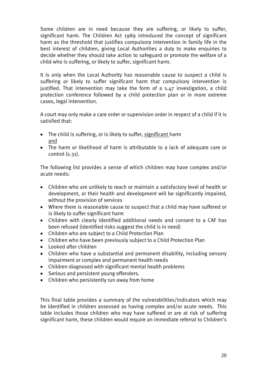Some children are in need because they are suffering, or likely to suffer, significant harm. The Children Act 1989 introduced the concept of significant harm as the threshold that justifies compulsory intervention in family life in the best interest of children, giving Local Authorities a duty to make enquiries to decide whether they should take action to safeguard or promote the welfare of a child who is suffering, or likely to suffer, significant harm.

It is only when the Local Authority has reasonable cause to suspect a child is suffering or likely to suffer significant harm that compulsory intervention is justified. That intervention may take the form of a s.47 investigation, a child protection conference followed by a child protection plan or in more extreme cases, legal intervention.

A court may only make a care order or supervision order in respect of a child if it is satisfied that:

- The child is suffering, or is likely to suffer, significant harm and
- The harm or likelihood of harm is attributable to a lack of adequate care or control (s.31).

The following list provides a sense of which children may have complex and/or acute needs:

- Children who are unlikely to reach or maintain a satisfactory level of health or development, or their health and development will be significantly impaired, without the provision of services
- Where there is reasonable cause to suspect that a child may have suffered or is likely to suffer significant harm
- Children with clearly identified additional needs and consent to a CAF has been refused (identified risks suggest the child is in need)
- Children who are subject to a Child Protection Plan
- Children who have been previously subject to a Child Protection Plan
- Looked after children
- Children who have a substantial and permanent disability, including sensory impairment or complex and permanent health needs
- Children diagnosed with significant mental health problems
- Serious and persistent young offenders.
- Children who persistently run away from home

This final table provides a summary of the vulnerabilities/indicators which may be identified in children assessed as having complex and/or acute needs. This table includes those children who may have suffered or are at risk of suffering significant harm, these children would require an immediate referral to Children's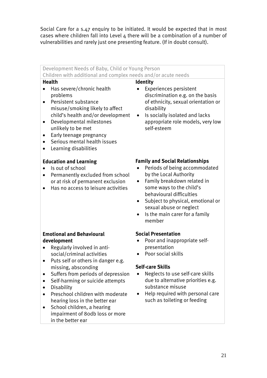Social Care for a s.47 enguiry to be initiated. It would be expected that in most cases where children fall into Level 4 there will be a combination of a number of vulnerabilities and rarely just one presenting feature. (If in doubt consult).

#### Development Needs of Baby, Child or Young Person Children with additional and complex needs and/or acute needs **Health**  Has severe/chronic health problems **•** Persistent substance misuse/smoking likely to affect child's health and/or development Developmental milestones unlikely to be met • Early teenage pregnancy Serious mental health issues Learning disabilities **Education and Learning**  • Is out of school • Permanently excluded from school or at risk of permanent exclusion Has no access to leisure activities **Emotional and Behavioural development**  • Regularly involved in antisocial/criminal activities • Puts self or others in danger e.g. missing, absconding • Suffers from periods of depression • Self-harming or suicide attempts **•** Disability • Preschool children with moderate hearing loss in the better ear • School children, a hearing impairment of 80db loss or more in the better ear **Identity**  Experiences persistent discrimination e.g. on the basis of ethnicity, sexual orientation or disability • Is socially isolated and lacks appropriate role models, very low self-esteem **Family and Social Relationships**  • Periods of being accommodated by the Local Authority Family breakdown related in some ways to the child's behavioural difficulties Subject to physical, emotional or sexual abuse or neglect  $\bullet$  Is the main carer for a family member **Social Presentation**  Poor and inappropriate selfpresentation • Poor social skills **Self-care Skills**  • Neglects to use self-care skills due to alternative priorities e.g. substance misuse • Help required with personal care such as toileting or feeding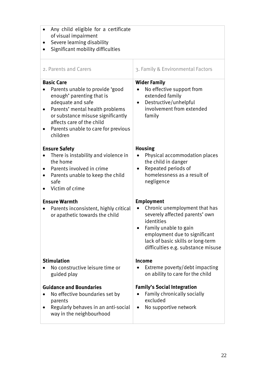| Any child eligible for a certificate<br>of visual impairment<br>Severe learning disability<br>Significant mobility difficulties                                                                                                                                |                                                                                                                                                                                                                                         |
|----------------------------------------------------------------------------------------------------------------------------------------------------------------------------------------------------------------------------------------------------------------|-----------------------------------------------------------------------------------------------------------------------------------------------------------------------------------------------------------------------------------------|
| 2. Parents and Carers                                                                                                                                                                                                                                          | 3. Family & Environmental Factors                                                                                                                                                                                                       |
| <b>Basic Care</b><br>Parents unable to provide 'good<br>enough' parenting that is<br>adequate and safe<br>Parents' mental health problems<br>or substance misuse significantly<br>affects care of the child<br>Parents unable to care for previous<br>children | <b>Wider Family</b><br>No effective support from<br>$\bullet$<br>extended family<br>Destructive/unhelpful<br>$\bullet$<br>involvement from extended<br>family                                                                           |
| <b>Ensure Safety</b><br>There is instability and violence in<br>the home<br>Parents involved in crime<br>Parents unable to keep the child<br>$\bullet$<br>safe<br>Victim of crime                                                                              | <b>Housing</b><br>Physical accommodation places<br>the child in danger<br>Repeated periods of<br>$\bullet$<br>homelessness as a result of<br>negligence                                                                                 |
| <b>Ensure Warmth</b><br>Parents inconsistent, highly critical<br>$\bullet$<br>or apathetic towards the child                                                                                                                                                   | <b>Employment</b><br>Chronic unemployment that has<br>severely affected parents' own<br>identities<br>Family unable to gain<br>employment due to significant<br>lack of basic skills or long-term<br>difficulties e.g. substance misuse |
| <b>Stimulation</b><br>No constructive leisure time or<br>guided play<br><b>Guidance and Boundaries</b><br>No effective boundaries set by<br>parents<br>Regularly behaves in an anti-social<br>way in the neighbourhood                                         | <b>Income</b><br>Extreme poverty/debt impacting<br>on ability to care for the child<br><b>Family's Social Integration</b><br>Family chronically socially<br>excluded<br>No supportive network                                           |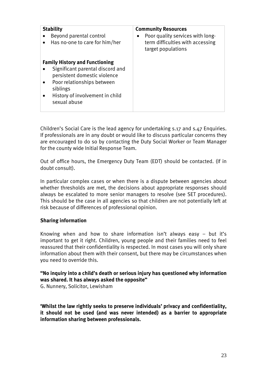| <b>Stability</b><br>Beyond parental control<br>Has no-one to care for him/her                                                                                                                          | <b>Community Resources</b><br>Poor quality services with long-<br>٠<br>term difficulties with accessing<br>target populations |
|--------------------------------------------------------------------------------------------------------------------------------------------------------------------------------------------------------|-------------------------------------------------------------------------------------------------------------------------------|
| <b>Family History and Functioning</b><br>Significant parental discord and<br>persistent domestic violence<br>Poor relationships between<br>siblings<br>History of involvement in child<br>sexual abuse |                                                                                                                               |

Children's Social Care is the lead agency for undertaking s.17 and s.47 Enquiries. If professionals are in any doubt or would like to discuss particular concerns they are encouraged to do so by contacting the Duty Social Worker or Team Manager for the county wide Initial Response Team.

Out of office hours, the Emergency Duty Team (EDT) should be contacted. (If in doubt consult).

In particular complex cases or when there is a dispute between agencies about whether thresholds are met, the decisions about appropriate responses should always be escalated to more senior managers to resolve (see SET procedures). This should be the case in all agencies so that children are not potentially left at risk because of differences of professional opinion.

#### **Sharing information**

Knowing when and how to share information isn't always easy – but it's important to get it right. Children, young people and their families need to feel reassured that their confidentiality is respected. In most cases you will only share information about them with their consent, but there may be circumstances when you need to override this.

#### **"No inquiry into a child's death or serious injury has questioned why information was shared. It has always asked the opposite"**

G. Nunnery, Solicitor, Lewisham

**'Whilst the law rightly seeks to preserve individuals' privacy and confidentiality, it should not be used (and was never intended) as a barrier to appropriate information sharing between professionals.**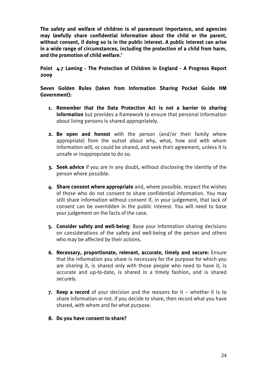**The safety and welfare of children is of paramount importance, and agencies may lawfully share confidential information about the child or the parent, without consent, if doing so is in the public interest. A public interest can arise in a wide range of circumstances, including the protection of a child from harm, and the promotion of child welfare.'** 

#### **Point 4.7 Laming - The Protection of Children in England - A Progress Report 2009**

**Seven Golden Rules (taken from Information Sharing Pocket Guide HM Government):** 

- **1. Remember that the Data Protection Act is not a barrier to sharing information** but provides a framework to ensure that personal information about living persons is shared appropriately.
- **2. Be open and honest** with the person (and/or their family where appropriate) from the outset about why, what, how and with whom information will, or could be shared, and seek their agreement, unless it is unsafe or inappropriate to do so.
- **3. Seek advice** if you are in any doubt, without disclosing the identity of the person where possible.
- **4. Share consent where appropriate** and, where possible, respect the wishes of those who do not consent to share confidential information. You may still share information without consent if, in your judgement, that lack of consent can be overridden in the public interest. You will need to base your judgement on the facts of the case.
- **5. Consider safety and well-being**: Base your information sharing decisions on considerations of the safety and well-being of the person and others who may be affected by their actions.
- **6. Necessary, proportionate, relevant, accurate, timely and secure:** Ensure that the information you share is necessary for the purpose for which you are sharing it, is shared only with those people who need to have it, is accurate and up-to-date, is shared in a timely fashion, and is shared securely.
- **7. Keep a record** of your decision and the reasons for it whether it is to share information or not. If you decide to share, then record what you have shared, with whom and for what purpose.
- **8. Do you have consent to share?**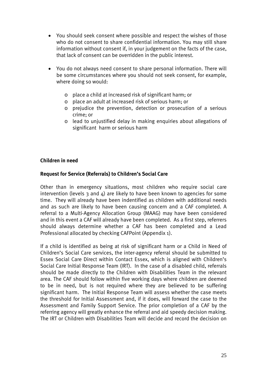- You should seek consent where possible and respect the wishes of those who do not consent to share confidential information. You may still share information without consent if, in your judgement on the facts of the case, that lack of consent can be overridden in the public interest.
- You do not always need consent to share personal information. There will be some circumstances where you should not seek consent, for example, where doing so would:
	- o place a child at increased risk of significant harm; or
	- o place an adult at increased risk of serious harm; or
	- o prejudice the prevention, detection or prosecution of a serious crime; or
	- o lead to unjustified delay in making enquiries about allegations of significant harm or serious harm

#### **Children in need**

#### **Request for Service (Referrals) to Children's Social Care**

Other than in emergency situations, most children who require social care intervention (levels  $3$  and  $4$ ) are likely to have been known to agencies for some time. They will already have been indentified as children with additional needs and as such are likely to have been causing concern and a CAF completed. A referral to a Multi-Agency Allocation Group (MAAG) may have been considered and in this event a CAF will already have been completed. As a first step, referrers should always determine whether a CAF has been completed and a Lead Professional allocated by checking CAFPoint (Appendix 1).

If a child is identified as being at risk of significant harm or a Child in Need of Children's Social Care services, the inter-agency referral should be submitted to Essex Social Care Direct within Contact Essex, which is aligned with Children's Social Care Initial Response Team (IRT). In the case of a disabled child, referrals should be made directly to the Children with Disabilities Team in the relevant area. The CAF should follow within five working days where children are deemed to be in need, but is not required where they are believed to be suffering significant harm. The Initial Response Team will assess whether the case meets the threshold for Initial Assessment and, if it does, will forward the case to the Assessment and Family Support Service. The prior completion of a CAF by the referring agency will greatly enhance the referral and aid speedy decision making. The IRT or Children with Disabilities Team will decide and record the decision on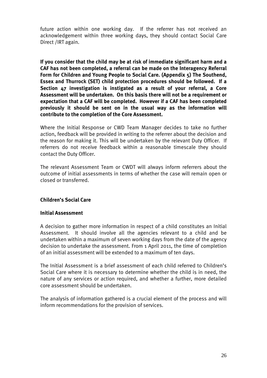future action within one working day. If the referrer has not received an acknowledgement within three working days, they should contact Social Care Direct /IRT again.

**If you consider that the child may be at risk of immediate significant harm and a CAF has not been completed, a referral can be made on the Interagency Referral Form for Children and Young People to Social Care. (Appendix 5) The Southend, Essex and Thurrock (SET) child protection procedures should be followed. If a Section 47 investigation is instigated as a result of your referral, a Core Assessment will be undertaken. On this basis there will not be a requirement or expectation that a CAF will be completed. However if a CAF has been completed previously it should be sent on in the usual way as the information will contribute to the completion of the Core Assessment.** 

Where the Initial Response or CWD Team Manager decides to take no further action, feedback will be provided in writing to the referrer about the decision and the reason for making it. This will be undertaken by the relevant Duty Officer. If referrers do not receive feedback within a reasonable timescale they should contact the Duty Officer.

The relevant Assessment Team or CWDT will always inform referrers about the outcome of initial assessments in terms of whether the case will remain open or closed or transferred.

#### **Children's Social Care**

#### **Initial Assessment**

A decision to gather more information in respect of a child constitutes an Initial Assessment. It should involve all the agencies relevant to a child and be undertaken within a maximum of seven working days from the date of the agency decision to undertake the assessment. From 1 April 2011, the time of completion of an initial assessment will be extended to a maximum of ten days.

The Initial Assessment is a brief assessment of each child referred to Children's Social Care where it is necessary to determine whether the child is in need, the nature of any services or action required, and whether a further, more detailed core assessment should be undertaken.

The analysis of information gathered is a crucial element of the process and will inform recommendations for the provision of services.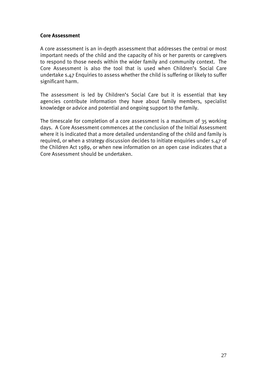#### **Core Assessment**

A core assessment is an in-depth assessment that addresses the central or most important needs of the child and the capacity of his or her parents or caregivers to respond to those needs within the wider family and community context. The Core Assessment is also the tool that is used when Children's Social Care undertake s.47 Enquiries to assess whether the child is suffering or likely to suffer significant harm.

The assessment is led by Children's Social Care but it is essential that key agencies contribute information they have about family members, specialist knowledge or advice and potential and ongoing support to the family.

The timescale for completion of a core assessment is a maximum of 35 working days. A Core Assessment commences at the conclusion of the Initial Assessment where it is indicated that a more detailed understanding of the child and family is required, or when a strategy discussion decides to initiate enquiries under s.47 of the Children Act 1989, or when new information on an open case indicates that a Core Assessment should be undertaken.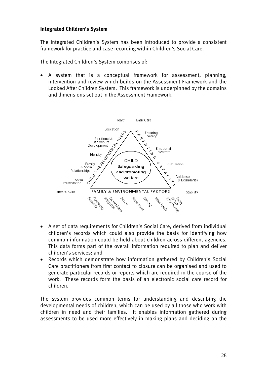#### **Integrated Children's System**

The Integrated Children's System has been introduced to provide a consistent framework for practice and case recording within Children's Social Care.

The Integrated Children's System comprises of:

 A system that is a conceptual framework for assessment, planning, intervention and review which builds on the Assessment Framework and the Looked After Children System. This framework is underpinned by the domains and dimensions set out in the Assessment Framework.



- A set of data requirements for Children's Social Care, derived from individual children's records which could also provide the basis for identifying how common information could be held about children across different agencies. This data forms part of the overall information required to plan and deliver children's services; and
- Records which demonstrate how information gathered by Children's Social Care practitioners from first contact to closure can be organised and used to generate particular records or reports which are required in the course of the work. These records form the basis of an electronic social care record for children.

The system provides common terms for understanding and describing the developmental needs of children, which can be used by all those who work with children in need and their families. It enables information gathered during assessments to be used more effectively in making plans and deciding on the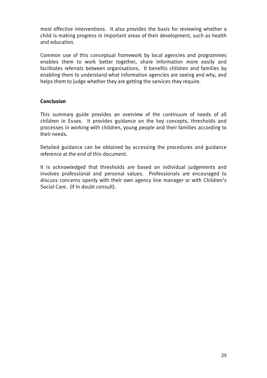most effective interventions. It also provides the basis for reviewing whether a child is making progress in important areas of their development, such as health and education.

Common use of this conceptual framework by local agencies and programmes enables them to work better together, share information more easily and facilitates referrals between organisations. It benefits children and families by enabling them to understand what information agencies are seeing and why, and helps them to judge whether they are getting the services they require.

#### **Conclusion**

This summary guide provides an overview of the continuum of needs of all children in Essex. It provides guidance on the key concepts, thresholds and processes in working with children, young people and their families according to their needs.

Detailed guidance can be obtained by accessing the procedures and guidance reference at the end of this document.

It is acknowledged that thresholds are based on individual judgements and involves professional and personal values. Professionals are encouraged to discuss concerns openly with their own agency line manager or with Children's Social Care. (If in doubt consult).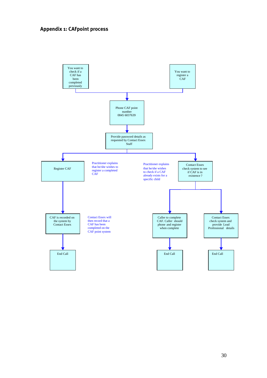#### **Appendix 1: CAFpoint process**

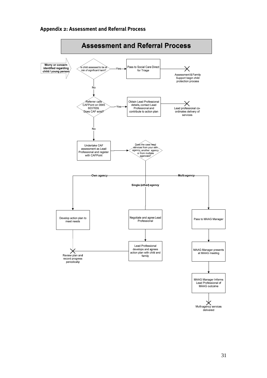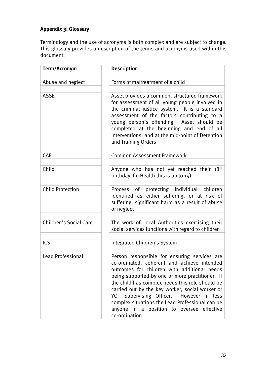## **Appendix 3: Glossary**

Terminology and the use of acronyms is both complex and are subject to change. This glossary provides a description of the terms and acronyms used within this document.

| Term/Acronym             | <b>Description</b>                                                                                                                                                                                                                                                                                                                                                                                                                                               |
|--------------------------|------------------------------------------------------------------------------------------------------------------------------------------------------------------------------------------------------------------------------------------------------------------------------------------------------------------------------------------------------------------------------------------------------------------------------------------------------------------|
|                          |                                                                                                                                                                                                                                                                                                                                                                                                                                                                  |
| Abuse and neglect        | Forms of maltreatment of a child                                                                                                                                                                                                                                                                                                                                                                                                                                 |
| <b>ASSET</b>             | Asset provides a common, structured framework<br>for assessment of all young people involved in<br>the criminal justice system. It is a standard<br>assessment of the factors contributing to a<br>young person's offending. Asset should be<br>completed at the beginning and end of all<br>interventions, and at the mid-point of Detention<br>and Training Orders                                                                                             |
|                          |                                                                                                                                                                                                                                                                                                                                                                                                                                                                  |
| CAF                      | <b>Common Assessment Framework</b>                                                                                                                                                                                                                                                                                                                                                                                                                               |
| Child                    | Anyone who has not yet reached their 18 <sup>th</sup><br>birthday (in Health this is up to 19)                                                                                                                                                                                                                                                                                                                                                                   |
| <b>Child Protection</b>  | Process of protecting individual children<br>identified as either suffering, or at risk of<br>suffering, significant harm as a result of abuse<br>or neglect                                                                                                                                                                                                                                                                                                     |
|                          |                                                                                                                                                                                                                                                                                                                                                                                                                                                                  |
| Children's Social Care   | The work of Local Authorities exercising their<br>social services functions with regard to children                                                                                                                                                                                                                                                                                                                                                              |
|                          |                                                                                                                                                                                                                                                                                                                                                                                                                                                                  |
| ICS                      | Integrated Children's System                                                                                                                                                                                                                                                                                                                                                                                                                                     |
|                          |                                                                                                                                                                                                                                                                                                                                                                                                                                                                  |
| <b>Lead Professional</b> | Person responsible for ensuring services are<br>co-ordinated, coherent and achieve intended<br>outcomes for children with additional needs<br>being supported by one or more practitioner. If<br>the child has complex needs this role should be<br>carried out by the key worker, social worker or<br>YOT Supervising Officer. However in less<br>complex situations the Lead Professional can be<br>anyone in a position to oversee effective<br>co-ordination |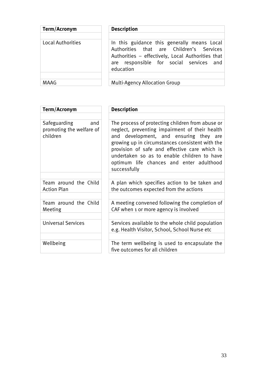| <b>Description</b>                                                                                                                           |
|----------------------------------------------------------------------------------------------------------------------------------------------|
| In this guidance this generally means Local<br>Authorities that are Children's Services<br>Authorities - effectively, Local Authorities that |
| are responsible for social services and<br>education<br><b>Multi-Agency Allocation Group</b>                                                 |
|                                                                                                                                              |

| Term/Acronym                                                | <b>Description</b>                                                                                                                                                                                                                                                                                                                                          |
|-------------------------------------------------------------|-------------------------------------------------------------------------------------------------------------------------------------------------------------------------------------------------------------------------------------------------------------------------------------------------------------------------------------------------------------|
|                                                             |                                                                                                                                                                                                                                                                                                                                                             |
| Safeguarding<br>and<br>promoting the welfare of<br>children | The process of protecting children from abuse or<br>neglect, preventing impairment of their health<br>and development, and ensuring they are<br>growing up in circumstances consistent with the<br>provision of safe and effective care which is<br>undertaken so as to enable children to have<br>optimum life chances and enter adulthood<br>successfully |
|                                                             |                                                                                                                                                                                                                                                                                                                                                             |
| Team around the Child<br><b>Action Plan</b>                 | A plan which specifies action to be taken and<br>the outcomes expected from the actions                                                                                                                                                                                                                                                                     |
|                                                             |                                                                                                                                                                                                                                                                                                                                                             |
| Team around the Child<br>Meeting                            | A meeting convened following the completion of<br>CAF when 1 or more agency is involved                                                                                                                                                                                                                                                                     |
|                                                             |                                                                                                                                                                                                                                                                                                                                                             |
| <b>Universal Services</b>                                   | Services available to the whole child population<br>e.g. Health Visitor, School, School Nurse etc                                                                                                                                                                                                                                                           |
|                                                             |                                                                                                                                                                                                                                                                                                                                                             |
| Wellbeing                                                   | The term wellbeing is used to encapsulate the<br>five outcomes for all children                                                                                                                                                                                                                                                                             |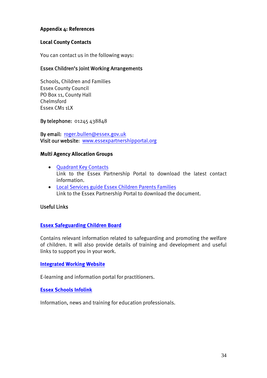#### **Appendix 4: References**

#### **Local County Contacts**

You can contact us in the following ways:

#### Essex Children's Joint Working Arrangements

Schools, Children and Families Essex County Council PO Box 11, County Hall Chelmsford Essex CM1 1LX

By telephone: 01245 438848

By email: roger.bullen@essex.gov.uk Visit our website: www.essexpartnershipportal.org

#### **Multi Agency Allocation Groups**

- Quadrant Key Contacts Link to the Essex Partnership Portal to download the latest contact information.
- Local Services guide Essex Children Parents Families Link to the Essex Partnership Portal to download the document.

#### Useful Links

#### **Essex Safeguarding Children Board**

Contains relevant information related to safeguarding and promoting the welfare of children. It will also provide details of training and development and useful links to support you in your work.

#### **Integrated Working Website**

E-learning and information portal for practitioners.

#### **Essex Schools Infolink**

Information, news and training for education professionals.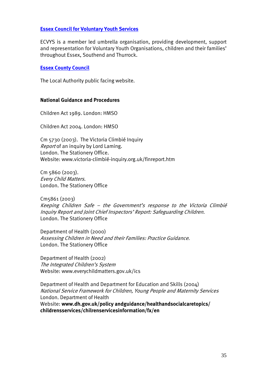#### **Essex Council for Voluntary Youth Services**

ECVYS is a member led umbrella organisation, providing development, support and representation for Voluntary Youth Organisations, children and their families' throughout Essex, Southend and Thurrock.

#### **Essex County Council**

The Local Authority public facing website.

#### **National Guidance and Procedures**

Children Act 1989. London: HMSO

Children Act 2004. London: HMSO

Cm 5730 (2003). The Victoria Climbié Inquiry Report of an inquiry by Lord Laming. London. The Stationery Office. Website: www.victoria-climbié-inquiry.org.uk/finreport.htm

Cm 5860 (2003). Every Child Matters. London. The Stationery Office

Cm5861 (2003) Keeping Children Safe – the Government's response to the Victoria Climbié Inquiry Report and Joint Chief Inspectors' Report: Safeguarding Children. London. The Stationery Office

Department of Health (2000) Assessing Children in Need and their Families: Practice Guidance. London. The Stationery Office

Department of Health (2002) The Integrated Children's System Website: www.everychildmatters.gov.uk/ics

Department of Health and Department for Education and Skills (2004) National Service Framework for Children, Young People and Maternity Services London. Department of Health Website: **www.dh.gov.uk/policy andguidance/healthandsocialcaretopics/ childrensservices/chilrenservicesinformation/fx/en**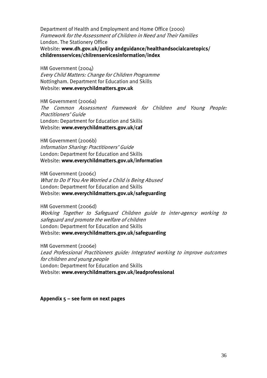Department of Health and Employment and Home Office (2000) Framework for the Assessment of Children in Need and Their Families London. The Stationery Office Website: **www.dh.gov.uk/policy andguidance/healthandsocialcaretopics/ childrensservices/chilrenservicesinformation/index** 

HM Government (2004) Every Child Matters: Change for Children Programme Nottingham. Department for Education and Skills Website: **www.everychildmatters.gov.uk**

HM Government (2006a) The Common Assessment Framework for Children and Young People: Practitioners' Guide London: Department for Education and Skills Website: **www.everychildmatters.gov.uk/caf**

HM Government (2006b) Information Sharing: Practitioners' Guide London: Department for Education and Skills Website: **www.everychildmatters.gov.uk/information**

HM Government (2006c) What to Do If You Are Worried a Child is Being Abused London: Department for Education and Skills Website: **www.everychildmatters.gov.uk/safeguarding**

HM Government (2006d) Working Together to Safeguard Children guide to inter-agency working to safeguard and promote the welfare of children London: Department for Education and Skills Website: **www.everychildmatters.gov.uk/safeguarding** 

HM Government (2006e) Lead Professional Practitioners guide: Integrated working to improve outcomes for children and young people London: Department for Education and Skills Website: **www.everychildmatters.gov.uk/leadprofessional**

#### **Appendix 5 – see form on next pages**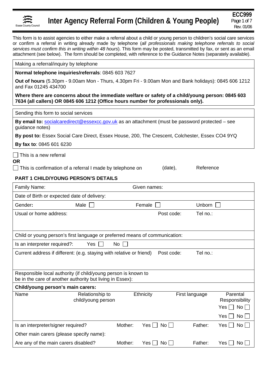

This form is to assist agencies to either make a referral about a child or young person to children's social care services or confirm a referral in writing already made by telephone (*all professionals making telephone referrals to social services must confirm this in writing within 48 hours*). This form may be posted, transmitted by fax, or sent as an email attachment (see below). The form should be completed, with reference to the Guidance Notes (separately available).

Making a referral/inquiry by telephone

**Normal telephone inquiries/referrals**: 0845 603 7627

**Out of hours** (5.30pm - 9.00am Mon - Thurs, 4.30pm Fri - 9.00am Mon and Bank holidays): 0845 606 1212 and Fax 01245 434700

**Where there are concerns about the immediate welfare or safety of a child/young person: 0845 603 7634 (all callers) OR 0845 606 1212 (Office hours number for professionals only).** 

Sending this form to social services

**By email to:** socialcaredirect@essexcc.gov.uk as an attachment (must be password protected – see guidance notes)

**By post to:** Essex Social Care Direct, Essex House, 200, The Crescent, Colchester, Essex CO4 9YQ

**By fax to**: 0845 601 6230

 $\Box$  This is a new referral

**OR** 

This is confirmation of a referral I made by telephone on  $(date)$ , Reference

#### **PART 1 CHILD/YOUNG PERSON'S DETAILS**

| Family Name:                                                                                                                | Given names:                          |         |                   |                |                 |                            |
|-----------------------------------------------------------------------------------------------------------------------------|---------------------------------------|---------|-------------------|----------------|-----------------|----------------------------|
| Date of Birth or expected date of delivery:                                                                                 |                                       |         |                   |                |                 |                            |
| Gender:                                                                                                                     | Male                                  |         | Female            |                | Unborn $  \;  $ |                            |
| Usual or home address:                                                                                                      |                                       |         |                   | Post code:     | Tel no.:        |                            |
|                                                                                                                             |                                       |         |                   |                |                 |                            |
| Child or young person's first language or preferred means of communication:                                                 |                                       |         |                   |                |                 |                            |
| Is an interpreter required?:                                                                                                | Yes                                   | No      |                   |                |                 |                            |
| Current address if different: (e.g. staying with relative or friend)                                                        |                                       |         |                   | Post code:     | Tel no.:        |                            |
|                                                                                                                             |                                       |         |                   |                |                 |                            |
| Responsible local authority (if child/young person is known to<br>be in the care of another authority but living in Essex): |                                       |         |                   |                |                 |                            |
| Child/young person's main carers:                                                                                           |                                       |         |                   |                |                 |                            |
| Name                                                                                                                        | Relationship to<br>child/young person |         | Ethnicity         | First language |                 | Parental<br>Responsibility |
|                                                                                                                             |                                       |         |                   |                |                 | No<br>Yes                  |
|                                                                                                                             |                                       |         |                   |                |                 | Yes  <br>$No$ $\vert$      |
| Is an interpreter/signer required?                                                                                          |                                       | Mother: | $No$    <br>Yes ⊟ |                | Father:         | $No$ $\Box$<br>Yes I       |
| Other main carers (please specify name):                                                                                    |                                       |         |                   |                |                 |                            |
| Are any of the main carers disabled?                                                                                        |                                       | Mother: | <b>No</b><br>Yes  |                | Father:         | Yes<br>No.                 |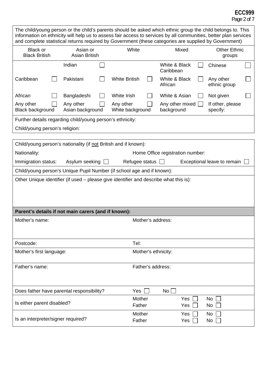## **ECC999**

Page 2 of 7

| The child/young person or the child's parents should be asked which ethnic group the child belongs to. This<br>information on ethnicity will help us to assess fair access to services by all communities, better plan services<br>and complete statistical returns required by Government (these categories are supplied by Government) |                                                                        |                               |                   |                                  |            |                               |  |
|------------------------------------------------------------------------------------------------------------------------------------------------------------------------------------------------------------------------------------------------------------------------------------------------------------------------------------------|------------------------------------------------------------------------|-------------------------------|-------------------|----------------------------------|------------|-------------------------------|--|
| <b>Black or</b><br><b>Black British</b>                                                                                                                                                                                                                                                                                                  | Asian or<br><b>Asian British</b>                                       | White                         |                   | Mixed                            |            | <b>Other Ethnic</b><br>groups |  |
|                                                                                                                                                                                                                                                                                                                                          | Indian                                                                 |                               |                   | White & Black<br>Caribbean       |            | Chinese                       |  |
| Caribbean                                                                                                                                                                                                                                                                                                                                | Pakistani                                                              | <b>White British</b>          |                   | White & Black<br>African         |            | Any other<br>ethnic group     |  |
| African                                                                                                                                                                                                                                                                                                                                  | Bangladeshi                                                            | White Irish                   |                   | White & Asian                    |            | Not given                     |  |
| Any other<br><b>Black background</b>                                                                                                                                                                                                                                                                                                     | Any other<br>Asian background                                          | Any other<br>White background |                   | Any other mixed<br>background    |            | If other, please<br>specify:  |  |
|                                                                                                                                                                                                                                                                                                                                          | Further details regarding child/young person's ethnicity:              |                               |                   |                                  |            |                               |  |
| Child/young person's religion:                                                                                                                                                                                                                                                                                                           |                                                                        |                               |                   |                                  |            |                               |  |
|                                                                                                                                                                                                                                                                                                                                          | Child/young person's nationality (if not British and if known):        |                               |                   |                                  |            |                               |  |
| Nationality:                                                                                                                                                                                                                                                                                                                             |                                                                        |                               |                   | Home Office registration number: |            |                               |  |
| Immigration status:                                                                                                                                                                                                                                                                                                                      | Asylum seeking                                                         | Refugee status $\Box$         |                   |                                  |            | Exceptional leave to remain   |  |
|                                                                                                                                                                                                                                                                                                                                          | Child/young person's Unique Pupil Number (if school age and if known): |                               |                   |                                  |            |                               |  |
| Other Unique identifier (if used – please give identifier and describe what this is):                                                                                                                                                                                                                                                    |                                                                        |                               |                   |                                  |            |                               |  |
| Parent's details if not main carers (and if known):<br>Mother's address:                                                                                                                                                                                                                                                                 |                                                                        |                               |                   |                                  |            |                               |  |
| Mother's name:                                                                                                                                                                                                                                                                                                                           |                                                                        |                               |                   |                                  |            |                               |  |
| Postcode:                                                                                                                                                                                                                                                                                                                                |                                                                        | Tel:                          |                   |                                  |            |                               |  |
| Mother's first language:                                                                                                                                                                                                                                                                                                                 |                                                                        |                               |                   | Mother's ethnicity:              |            |                               |  |
| Father's name:                                                                                                                                                                                                                                                                                                                           |                                                                        |                               | Father's address: |                                  |            |                               |  |
| Does father have parental responsibility?                                                                                                                                                                                                                                                                                                |                                                                        | Yes $\Box$                    |                   | No                               |            |                               |  |
| Is either parent disabled?                                                                                                                                                                                                                                                                                                               |                                                                        | Mother<br>Father              |                   |                                  | Yes<br>Yes | No.<br>No                     |  |
| Is an interpreter/signer required?                                                                                                                                                                                                                                                                                                       |                                                                        | Mother<br>Father              |                   |                                  | Yes<br>Yes | No.<br>No                     |  |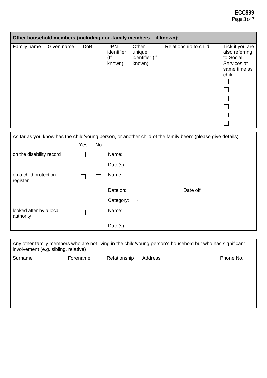## **ECC999**

Page 3 of 7

|             | Other household members (including non-family members – if known): |            |                                           |                                             |                       |                                                                                        |
|-------------|--------------------------------------------------------------------|------------|-------------------------------------------|---------------------------------------------|-----------------------|----------------------------------------------------------------------------------------|
| Family name | Given name                                                         | <b>DoB</b> | <b>UPN</b><br>identifier<br>(lf<br>known) | Other<br>unique<br>identifier (if<br>known) | Relationship to child | Tick if you are<br>also referring<br>to Social<br>Services at<br>same time as<br>child |

| As far as you know has the child/young person, or another child of the family been: (please give details) |     |    |                |           |
|-----------------------------------------------------------------------------------------------------------|-----|----|----------------|-----------|
|                                                                                                           | Yes | No |                |           |
| on the disability record                                                                                  |     |    | Name:          |           |
|                                                                                                           |     |    | Date(s):       |           |
| on a child protection<br>register                                                                         |     |    | Name:          |           |
|                                                                                                           |     |    | Date on:       | Date off: |
|                                                                                                           |     |    | Category:<br>٠ |           |
| looked after by a local<br>authority                                                                      |     |    | Name:          |           |
|                                                                                                           |     |    | Date(s):       |           |

| involvement (e.g. sibling, relative) |          |              |         | Any other family members who are not living in the child/young person's household but who has significant |
|--------------------------------------|----------|--------------|---------|-----------------------------------------------------------------------------------------------------------|
| Surname                              | Forename | Relationship | Address | Phone No.                                                                                                 |
|                                      |          |              |         |                                                                                                           |
|                                      |          |              |         |                                                                                                           |
|                                      |          |              |         |                                                                                                           |
|                                      |          |              |         |                                                                                                           |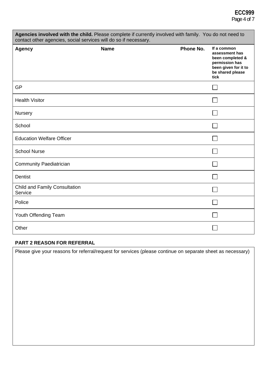### **ECC999**  Page 4 of 7

| Agencies involved with the child. Please complete if currently involved with family. You do not need to<br>contact other agencies, social services will do so if necessary. |             |           |                                                                                                                         |  |
|-----------------------------------------------------------------------------------------------------------------------------------------------------------------------------|-------------|-----------|-------------------------------------------------------------------------------------------------------------------------|--|
| <b>Agency</b>                                                                                                                                                               | <b>Name</b> | Phone No. | If a common<br>assessment has<br>been completed &<br>permission has<br>been given for it to<br>be shared please<br>tick |  |
| GP                                                                                                                                                                          |             |           |                                                                                                                         |  |
| <b>Health Visitor</b>                                                                                                                                                       |             |           |                                                                                                                         |  |
| <b>Nursery</b>                                                                                                                                                              |             |           |                                                                                                                         |  |
| School                                                                                                                                                                      |             |           |                                                                                                                         |  |
| <b>Education Welfare Officer</b>                                                                                                                                            |             |           |                                                                                                                         |  |
| <b>School Nurse</b>                                                                                                                                                         |             |           |                                                                                                                         |  |
| <b>Community Paediatrician</b>                                                                                                                                              |             |           |                                                                                                                         |  |
| <b>Dentist</b>                                                                                                                                                              |             |           |                                                                                                                         |  |
| Child and Family Consultation<br>Service                                                                                                                                    |             |           |                                                                                                                         |  |
| Police                                                                                                                                                                      |             |           |                                                                                                                         |  |
| Youth Offending Team                                                                                                                                                        |             |           |                                                                                                                         |  |
| Other                                                                                                                                                                       |             |           |                                                                                                                         |  |

#### **PART 2 REASON FOR REFERRAL**

Please give your reasons for referral/request for services (please continue on separate sheet as necessary)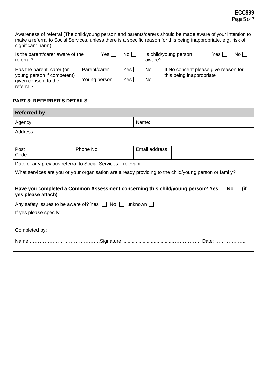## **ECC999**

Page 5 of 7

| Awareness of referral (The child/young person and parents/carers should be made aware of your intention to<br>make a referral to Social Services, unless there is a specific reason for this being inappropriate, e.g. risk of<br>significant harm) |              |       |                                                         |                                      |
|-----------------------------------------------------------------------------------------------------------------------------------------------------------------------------------------------------------------------------------------------------|--------------|-------|---------------------------------------------------------|--------------------------------------|
| Is the parent/carer aware of the<br>Yes l<br>referral?                                                                                                                                                                                              |              | No L  | $No$ $\Box$<br>Is child/young person<br>Yes l<br>aware? |                                      |
| Has the parent, carer (or                                                                                                                                                                                                                           | Parent/carer | Yes l | No                                                      | If No consent please give reason for |
| young person if competent)<br>given consent to the<br>referral?                                                                                                                                                                                     | Young person | Yes l | No l                                                    | this being inappropriate             |

#### **PART 3: REFERRER'S DETAILS**

 $\blacksquare$ 

| <b>Referred by</b>    |                                                                                                                           |               |  |  |  |  |
|-----------------------|---------------------------------------------------------------------------------------------------------------------------|---------------|--|--|--|--|
| Agency:               |                                                                                                                           | Name:         |  |  |  |  |
| Address:              |                                                                                                                           |               |  |  |  |  |
|                       |                                                                                                                           |               |  |  |  |  |
| Post<br>Code          | Phone No.                                                                                                                 | Email address |  |  |  |  |
|                       | Date of any previous referral to Social Services if relevant                                                              |               |  |  |  |  |
|                       | What services are you or your organisation are already providing to the child/young person or family?                     |               |  |  |  |  |
|                       |                                                                                                                           |               |  |  |  |  |
|                       | Have you completed a Common Assessment concerning this child/young person? Yes $\Box$ No $\Box$ (if<br>yes please attach) |               |  |  |  |  |
|                       | Any safety issues to be aware of? Yes $\Box$ No $\Box$                                                                    | unknown       |  |  |  |  |
| If yes please specify |                                                                                                                           |               |  |  |  |  |
|                       |                                                                                                                           |               |  |  |  |  |
| Completed by:         |                                                                                                                           |               |  |  |  |  |
|                       |                                                                                                                           |               |  |  |  |  |
|                       |                                                                                                                           |               |  |  |  |  |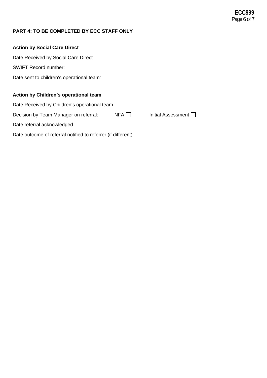#### **PART 4: TO BE COMPLETED BY ECC STAFF ONLY**

#### **Action by Social Care Direct**

Date Received by Social Care Direct

SWIFT Record number:

Date sent to children's operational team:

#### **Action by Children's operational team**

Date Received by Children's operational team

Decision by Team Manager on referral: NFA Initial Assessment Initial Assessment

Date referral acknowledged

Date outcome of referral notified to referrer (if different)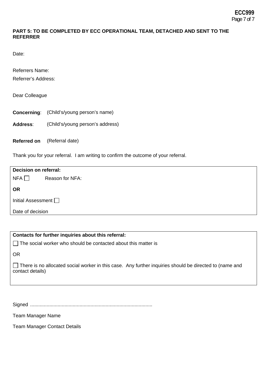#### **PART 5: TO BE COMPLETED BY ECC OPERATIONAL TEAM, DETACHED AND SENT TO THE REFERRER**

Date:

Referrers Name: Referrer's Address:

Dear Colleague

**Concerning**: (Child's/young person's name)

**Address**: (Child's/young person's address)

**Referred on** (Referral date)

Thank you for your referral. I am writing to confirm the outcome of your referral.

| Decision on referral:     |                 |  |
|---------------------------|-----------------|--|
| $NFA$ $\Box$              | Reason for NFA: |  |
| <b>OR</b>                 |                 |  |
| Initial Assessment $\Box$ |                 |  |
| Date of decision          |                 |  |

**Contacts for further inquiries about this referral:** 

 $\Box$  The social worker who should be contacted about this matter is

OR

 $\Box$  There is no allocated social worker in this case. Any further inquiries should be directed to (name and contact details)

Signed .........................................................................................

Team Manager Name

Team Manager Contact Details